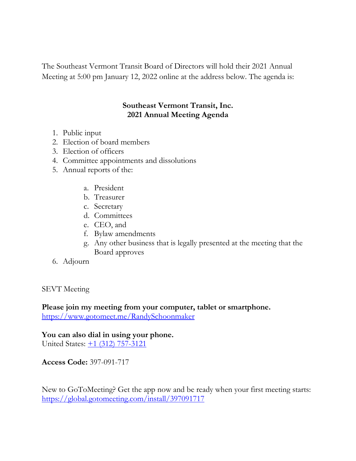The Southeast Vermont Transit Board of Directors will hold their 2021 Annual Meeting at 5:00 pm January 12, 2022 online at the address below. The agenda is:

# **Southeast Vermont Transit, Inc. 2021 Annual Meeting Agenda**

- 1. Public input
- 2. Election of board members
- 3. Election of officers
- 4. Committee appointments and dissolutions
- 5. Annual reports of the:
	- a. President
	- b. Treasurer
	- c. Secretary
	- d. Committees
	- e. CEO, and
	- f. Bylaw amendments
	- g. Any other business that is legally presented at the meeting that the Board approves
- 6. Adjourn

SEVT Meeting

**Please join my meeting from your computer, tablet or smartphone.**  <https://www.gotomeet.me/RandySchoonmaker>

**You can also dial in using your phone.** United States:  $\pm 1$  (312) 757-3121

**Access Code:** 397-091-717

New to GoToMeeting? Get the app now and be ready when your first meeting starts: <https://global.gotomeeting.com/install/397091717>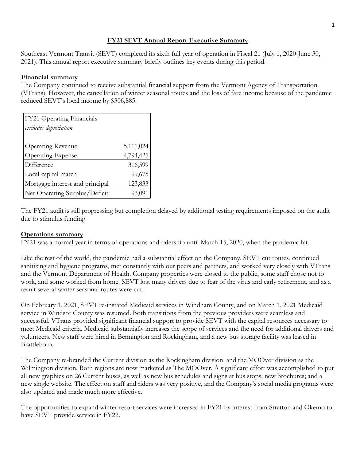### **FY21 SEVT Annual Report Executive Summary**

Southeast Vermont Transit (SEVT) completed its sixth full year of operation in Fiscal 21 (July 1, 2020-June 30, 2021). This annual report executive summary briefly outlines key events during this period.

#### **Financial summary**

The Company continued to receive substantial financial support from the Vermont Agency of Transportation (VTrans). However, the cancellation of winter seasonal routes and the loss of fare income because of the pandemic reduced SEVT's local income by \$306,885.

| FY21 Operating Financials       |           |
|---------------------------------|-----------|
| excludes depreciation           |           |
|                                 |           |
| <b>Operating Revenue</b>        | 5,111,024 |
| <b>Operating Expense</b>        | 4,794,425 |
| Difference                      | 316,599   |
| Local capital match             | 99,675    |
| Mortgage interest and principal | 123,833   |
| Net Operating Surplus/Deficit   | 93,091    |

The FY21 audit is still progressing but completion delayed by additional testing requirements imposed on the audit due to stimulus funding.

#### **Operations summary**

FY21 was a normal year in terms of operations and ridership until March 15, 2020, when the pandemic hit.

Like the rest of the world, the pandemic had a substantial effect on the Company. SEVT cut routes, continued sanitizing and hygiene programs, met constantly with our peers and partners, and worked very closely with VTrans and the Vermont Department of Health. Company properties were closed to the public, some staff chose not to work, and some worked from home. SEVT lost many drivers due to fear of the virus and early retirement, and as a result several winter seasonal routes were cut.

On February 1, 2021, SEVT re-instated Medicaid services in Windham County, and on March 1, 2021 Medicaid service in Windsor County was resumed. Both transitions from the previous providers were seamless and successful. VTrans provided significant financial support to provide SEVT with the capital resources necessary to meet Medicaid criteria. Medicaid substantially increases the scope of services and the need for additional drivers and volunteers. New staff were hired in Bennington and Rockingham, and a new bus storage facility was leased in Brattleboro.

The Company re-branded the Current division as the Rockingham division, and the MOOver division as the Wilmington division. Both regions are now marketed as The MOOver. A significant effort was accomplished to put all new graphics on 26 Current buses, as well as new bus schedules and signs at bus stops; new brochures; and a new single website. The effect on staff and riders was very positive, and the Company's social media programs were also updated and made much more effective.

The opportunities to expand winter resort services were increased in FY21 by interest from Stratton and Okemo to have SEVT provide service in FY22.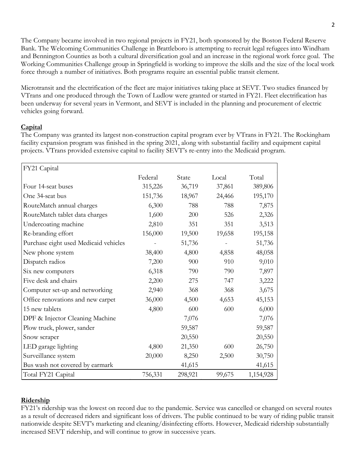The Company became involved in two regional projects in FY21, both sponsored by the Boston Federal Reserve Bank. The Welcoming Communities Challenge in Brattleboro is attempting to recruit legal refugees into Windham and Bennington Counties as both a cultural diversification goal and an increase in the regional work force goal. The Working Communities Challenge group in Springfield is working to improve the skills and the size of the local work force through a number of initiatives. Both programs require an essential public transit element.

Microtransit and the electrification of the fleet are major initiatives taking place at SEVT. Two studies financed by VTrans and one produced through the Town of Ludlow were granted or started in FY21. Fleet electrification has been underway for several years in Vermont, and SEVT is included in the planning and procurement of electric vehicles going forward.

### **Capital**

The Company was granted its largest non-construction capital program ever by VTrans in FY21. The Rockingham facility expansion program was finished in the spring 2021, along with substantial facility and equipment capital projects. VTrans provided extensive capital to facility SEVT's re-entry into the Medicaid program.

| FY21 Capital                          |         |         |        |           |
|---------------------------------------|---------|---------|--------|-----------|
|                                       | Federal | State   | Local  | Total     |
| Four 14-seat buses                    | 315,226 | 36,719  | 37,861 | 389,806   |
| One 34-seat bus                       | 151,736 | 18,967  | 24,466 | 195,170   |
| RouteMatch annual charges             | 6,300   | 788     | 788    | 7,875     |
| RouteMatch tablet data charges        | 1,600   | 200     | 526    | 2,326     |
| Undercoating machine                  | 2,810   | 351     | 351    | 3,513     |
| Re-branding effort                    | 156,000 | 19,500  | 19,658 | 195,158   |
| Purchase eight used Medicaid vehicles |         | 51,736  |        | 51,736    |
| New phone system                      | 38,400  | 4,800   | 4,858  | 48,058    |
| Dispatch radios                       | 7,200   | 900     | 910    | 9,010     |
| Six new computers                     | 6,318   | 790     | 790    | 7,897     |
| Five desk and chairs                  | 2,200   | 275     | 747    | 3,222     |
| Computer set-up and networking        | 2,940   | 368     | 368    | 3,675     |
| Office renovations and new carpet     | 36,000  | 4,500   | 4,653  | 45,153    |
| 15 new tablets                        | 4,800   | 600     | 600    | 6,000     |
| DPF & Injector Cleaning Machine       |         | 7,076   |        | 7,076     |
| Plow truck, plower, sander            |         | 59,587  |        | 59,587    |
| Snow scraper                          |         | 20,550  |        | 20,550    |
| LED garage lighting                   | 4,800   | 21,350  | 600    | 26,750    |
| Surveillance system                   | 20,000  | 8,250   | 2,500  | 30,750    |
| Bus wash not covered by earmark       |         | 41,615  |        | 41,615    |
| Total FY21 Capital                    | 756,331 | 298,921 | 99,675 | 1,154,928 |

### **Ridership**

FY21's ridership was the lowest on record due to the pandemic. Service was cancelled or changed on several routes as a result of decreased riders and significant loss of drivers. The public continued to be wary of riding public transit nationwide despite SEVT's marketing and cleaning/disinfecting efforts. However, Medicaid ridership substantially increased SEVT ridership, and will continue to grow in successive years.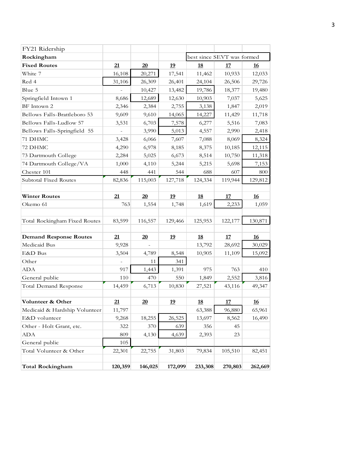| FY21 Ridership                |                |         |           |                            |            |           |
|-------------------------------|----------------|---------|-----------|----------------------------|------------|-----------|
| Rockingham                    |                |         |           | best since SEVT was formed |            |           |
| <b>Fixed Routes</b>           | 21             | 20      | <u>19</u> | <u>18</u>                  | <u>17</u>  | <u>16</u> |
| White 7                       | 16,108         | 20,271  | 17,541    | 11,462                     | 10,933     | 12,033    |
| Red 4                         | 31,106         | 26,309  | 26,401    | 24,104                     | 26,506     | 29,726    |
| Blue 5                        |                | 10,427  | 13,482    | 19,786                     | 18,377     | 19,480    |
| Springfield Intown 1          | 8,686          | 12,689  | 12,630    | 10,903                     | 7,037      | 5,625     |
| BF Intown 2                   | 2,346          | 2,384   | 2,755     | 3,138                      | 1,847      | 2,019     |
| Bellows Falls-Brattleboro 53  | 9,609          | 9,610   | 14,065    | 14,227                     | 11,429     | 11,718    |
| Bellows Falls-Ludlow 57       | 3,531          | 6,703   | 7,578     | 6,277                      | 5,516      | 7,083     |
| Bellows Falls-Springfield 55  | $\overline{a}$ | 3,990   | 5,013     | 4,557                      | 2,990      | 2,418     |
| 71 DHMC                       | 3,428          | 6,066   | 7,607     | 7,088                      | 8,069      | 8,324     |
| 72 DHMC                       | 4,290          | 6,978   | 8,185     | 8,375                      | 10,185     | 12,115    |
| 73 Dartmouth College          | 2,284          | 5,025   | 6,673     | 8,514                      | 10,750     | 11,318    |
| 74 Dartmouth College/VA       | 1,000          | 4,110   | 5,244     | 5,215                      | 5,698      | 7,153     |
| Chester 101                   | 448            | 441     | 544       | 688                        | 607        | 800       |
| Subtotal Fixed Routes         | 82,836         | 115,003 | 127,718   | 124,334                    | 119,944    | 129,812   |
|                               |                |         |           |                            |            |           |
| <b>Winter Routes</b>          | 21             | 20      | <u>19</u> | <u>18</u>                  | <u>17</u>  | <b>16</b> |
| Okemo 61                      | 763            | 1,554   | 1,748     | 1,619                      | 2,233      | 1,059     |
|                               |                |         |           |                            |            |           |
| Total Rockingham Fixed Routes | 83,599         | 116,557 | 129,466   | 125,953                    | 122,177    | 130,871   |
|                               |                |         |           |                            |            |           |
| <b>Demand Response Routes</b> | 21             | 20      | <u>19</u> | <u>18</u>                  | <u> 17</u> | <u>16</u> |
| Medicaid Bus                  | 9,928          |         |           | 13,792                     | 28,692     | 30,029    |
| E&D Bus                       | 3,504          | 4,789   | 8,548     | 10,905                     | 11,109     | 15,092    |
| Other                         |                | 11      | 341       |                            |            |           |
| ADA                           | 917            | 1,443   | 1,391     | 975                        | 763        | 410       |
| General public                | 110            | 470     | 550       | 1,849                      | 2,552      | 3,816     |
| <b>Total Demand Response</b>  | 14,459         | 6,713   | 10,830    | 27,521                     | 43,116     | 49,347    |
|                               |                |         |           |                            |            |           |
| Volunteer & Other             | 21             | 20      | 19        | <u>18</u>                  | <u>17</u>  | <u>16</u> |
| Medicaid & Hardship Volunteer | 11,797         |         |           | 63,388                     | 96,880     | 65,961    |
| E&D volunteer                 | 9,268          | 18,255  | 26,525    | 13,697                     | 8,562      | 16,490    |
| Other - Holt Grant, etc.      | 322            | 370     | 639       | 356                        | 45         |           |
| ADA                           | 809            | 4,130   | 4,639     | 2,393                      | 23         |           |
| General public                | 105            |         |           |                            |            |           |
| Total Volunteer & Other       | 22,301         | 22,755  | 31,803    | 79,834                     | 105,510    | 82,451    |
|                               |                |         |           |                            |            |           |
| <b>Total Rockingham</b>       | 120,359        | 146,025 | 172,099   | 233,308                    | 270,803    | 262,669   |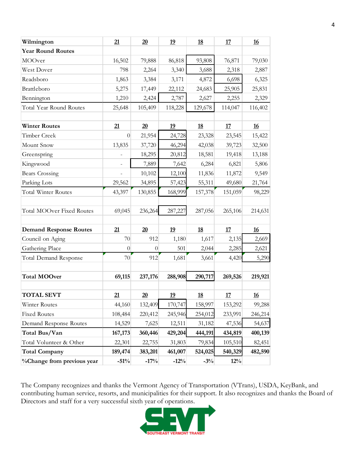| Wilmington                    | 21             | 20       | 19        | <u>18</u> | 17        | <u>16</u> |
|-------------------------------|----------------|----------|-----------|-----------|-----------|-----------|
| <b>Year Round Routes</b>      |                |          |           |           |           |           |
| MOOver                        | 16,502         | 79,888   | 86,818    | 93,808    | 76,871    | 79,030    |
| West Dover                    | 798            | 2,264    | 3,340     | 3,688     | 2,318     | 2,887     |
| Readsboro                     | 1,863          | 3,384    | 3,171     | 4,872     | 6,698     | 6,325     |
| Brattleboro                   | 5,275          | 17,449   | 22,112    | 24,683    | 25,905    | 25,831    |
| Bennington                    | 1,210          | 2,424    | 2,787     | 2,627     | 2,255     | 2,329     |
| Total Year Round Routes       | 25,648         | 105,409  | 118,228   | 129,678   | 114,047   | 116,402   |
|                               |                |          |           |           |           |           |
| <b>Winter Routes</b>          | 21             | 20       | <u>19</u> | <u>18</u> | <u>17</u> | <u>16</u> |
| Timber Creek                  | $\theta$       | 21,954   | 24,728    | 23,328    | 23,545    | 15,422    |
| Mount Snow                    | 13,835         | 37,720   | 46,294    | 42,038    | 39,723    | 32,500    |
| Greenspring                   |                | 18,295   | 20,812    | 18,581    | 19,418    | 13,188    |
| Kingswood                     | $\overline{a}$ | 7,889    | 7,642     | 6,284     | 6,821     | 5,806     |
| <b>Bears Crossing</b>         |                | 10,102   | 12,100    | 11,836    | 11,872    | 9,549     |
| Parking Lots                  | 29,562         | 34,895   | 57,423    | 55,311    | 49,680    | 21,764    |
| Total Winter Routes           | 43,397         | 130,855  | 168,999   | 157,378   | 151,059   | 98,229    |
| Total MOOver Fixed Routes     | 69,045         | 236,264  | 287,227   | 287,056   | 265,106   | 214,631   |
| <b>Demand Response Routes</b> | 21             | 20       | <u>19</u> | <u>18</u> | <u>17</u> | 16        |
| Council on Aging              | 70             | 912      | 1,180     | 1,617     | 2,135     | 2,669     |
| Gathering Place               | $\theta$       | $\theta$ | 501       | 2,044     | 2,285     | 2,621     |
| Total Demand Response         | 70             | 912      | 1,681     | 3,661     | 4,420     | 5,290     |
| <b>Total MOOver</b>           | 69,115         | 237,176  | 288,908   | 290,717   | 269,526   | 219,921   |
| <b>TOTAL SEVT</b>             | 21             | 20       | 19        | <u>18</u> | 17        | <u>16</u> |
| Winter Routes                 | 44,160         | 132,409  | 170,747   | 158,997   | 153,292   | 99,288    |
| <b>Fixed Routes</b>           | 108,484        | 220,412  | 245,946   | 254,012   | 233,991   | 246,214   |
| Demand Response Routes        | 14,529         | 7,625    | 12,511    | 31,182    | 47,536    | 54,637    |
| Total Bus/Van                 | 167,173        | 360,446  | 429,204   | 444,191   | 434,819   | 400,139   |
| Total Volunteer & Other       | 22,301         | 22,755   | 31,803    | 79,834    | 105,510   | 82,451    |
| <b>Total Company</b>          | 189,474        | 383,201  | 461,007   | 524,025   | 540,329   | 482,590   |
| %Change from previous year    | $-51%$         | $-17%$   | $-12%$    | $-3\%$    | 12%       |           |

The Company recognizes and thanks the Vermont Agency of Transportation (VTrans), USDA, KeyBank, and contributing human service, resorts, and municipalities for their support. It also recognizes and thanks the Board of Directors and staff for a very successful sixth year of operations.

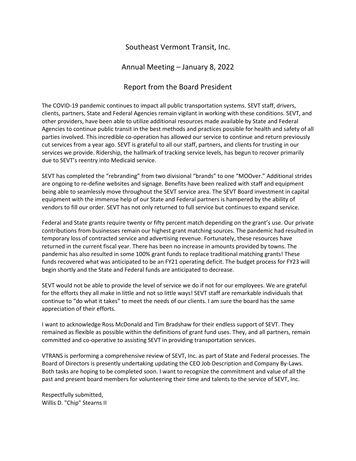## Southeast Vermont Transit, Inc.

### Annual Meeting – January 8, 2022

## Report from the Board President

The COVID-19 pandemic continues to impact all public transportation systems. SEVT staff, drivers, clients, partners, State and Federal Agencies remain vigilant in working with these conditions. SEVT, and other providers, have been able to utilize additional resources made available by State and Federal Agencies to continue public transit in the best methods and practices possible for health and safety of all parties involved. This incredible co-operation has allowed our service to continue and return previously cut services from a year ago. SEVT is grateful to all our staff, partners, and clients for trusting in our services we provide. Ridership, the hallmark of tracking service levels, has begun to recover primarily due to SEVT's reentry into Medicaid service.

SEVT has completed the "rebranding" from two divisional "brands" to one "MOOver." Additional strides are ongoing to re-define websites and signage. Benefits have been realized with staff and equipment being able to seamlessly move throughout the SEVT service area. The SEVT Board investment in capital equipment with the immense help of our State and Federal partners is hampered by the ability of vendors to fill our order. SEVT has not only returned to full service but continues to expand service.

Federal and State grants require twenty or fifty percent match depending on the grant's use. Our private contributions from businesses remain our highest grant matching sources. The pandemic had resulted in temporary loss of contracted service and advertising revenue. Fortunately, these resources have returned in the current fiscal year. There has been no increase in amounts provided by towns. The pandemic has also resulted in some 100% grant funds to replace traditional matching grants! These funds recovered what was anticipated to be an FY21 operating deficit. The budget process for FY23 will begin shortly and the State and Federal funds are anticipated to decrease.

SEVT would not be able to provide the level of service we do if not for our employees. We are grateful for the efforts they all make in little and not so little ways! SEVT staff are remarkable individuals that continue to "do what it takes" to meet the needs of our clients. I am sure the board has the same appreciation of their efforts.

I want to acknowledge Ross McDonald and Tim Bradshaw for their endless support of SEVT. They remained as flexible as possible within the definitions of grant fund uses. They, and all partners, remain committed and co-operative to assisting SEVT in providing transportation services.

VTRANS is performing a comprehensive review of SEVT, Inc. as part of State and Federal processes. The Board of Directors is presently undertaking updating the CEO Job Description and Company By-Laws. Both tasks are hoping to be completed soon. I want to recognize the commitment and value of all the past and present board members for volunteering their time and talents to the service of SEVT, Inc.

Respectfully submitted, Willis D. "Chip" Stearns II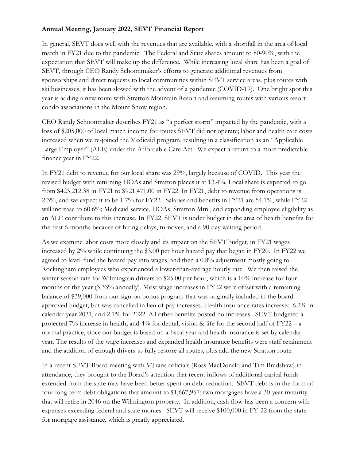### **Annual Meeting, January 2022, SEVT Financial Report**

In general, SEVT does well with the revenues that are available, with a shortfall in the area of local match in FY21 due to the pandemic. The Federal and State shares amount to 80-90%, with the expectation that SEVT will make up the difference. While increasing local share has been a goal of SEVT, through CEO Randy Schoonmaker's efforts to generate additional revenues from sponsorships and direct requests to local communities within SEVT service areas, plus routes with ski businesses, it has been slowed with the advent of a pandemic (COVID-19). One bright spot this year is adding a new route with Stratton Mountain Resort and resuming routes with various resort condo associations in the Mount Snow region.

CEO Randy Schoonmaker describes FY21 as "a perfect storm" impacted by the pandemic, with a loss of \$205,000 of local match income for routes SEVT did not operate; labor and health care costs increased when we re-joined the Medicaid program, resulting in a classification as an "Applicable Large Employer" (ALE) under the Affordable Care Act. We expect a return to a more predictable finance year in FY22.

In FY21 debt to revenue for our local share was 29%, largely because of COVID. This year the revised budget with returning HOAs and Stratton places it at 13.4%. Local share is expected to go from \$423,212.38 in FY21 to \$921,471.00 in FY22. In FY21, debt to revenue from operations is 2.3%, and we expect it to be 1.7% for FY22. Salaries and benefits in FY21 are 54.1%, while FY22 will increase to 60.6%; Medicaid service, HOAs, Stratton Mtn., and expanding employee eligibility as an ALE contribute to this increase. In FY22, SEVT is under budget in the area of health benefits for the first 6-months because of hiring delays, turnover, and a 90-day waiting period.

As we examine labor costs more closely and its impact on the SEVT budget, in FY21 wages increased by 2% while continuing the \$3.00 per hour hazard pay that began in FY20. In FY22 we agreed to level-fund the hazard pay into wages, and then a 0.8% adjustment mostly going to Rockingham employees who experienced a lower-than-average hourly rate. We then raised the winter season rate for Wilmington drivers to \$25.00 per hour, which is a 10% increase for four months of the year (3.33% annually). Most wage increases in FY22 were offset with a remaining balance of \$39,000 from our sign-on bonus program that was originally included in the board approved budget, but was cancelled in lieu of pay increases. Health insurance rates increased 6.2% in calendar year 2021, and 2.1% for 2022. All other benefits posted no increases. SEVT budgeted a projected 7% increase in health, and 4% for dental, vision & life for the second half of FY22 – a normal practice, since our budget is based on a fiscal year and health insurance is set by calendar year. The results of the wage increases and expanded health insurance benefits were staff retainment and the addition of enough drivers to fully restore all routes, plus add the new Stratton route.

In a recent SEVT Board meeting with VTrans officials (Ross MacDonald and Tim Bradshaw) in attendance, they brought to the Board's attention that recent inflows of additional capital funds extended from the state may have been better spent on debt reduction. SEVT debt is in the form of four long-term debt obligations that amount to \$1,667,957; two mortgages have a 30-year maturity that will retire in 2046 on the Wilmington property. In addition, cash flow has been a concern with expenses exceeding federal and state monies. SEVT will receive \$100,000 in FY-22 from the state for mortgage assistance, which is greatly appreciated.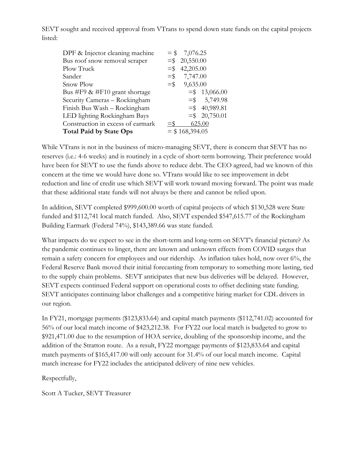SEVT sought and received approval from VTrans to spend down state funds on the capital projects listed:

| DPF & Injector cleaning machine   |                   | $= $7,076.25$    |                 |
|-----------------------------------|-------------------|------------------|-----------------|
| Bus roof snow removal scraper     |                   | $=$ \$20,550.00  |                 |
| Plow Truck                        | $=$ \$            | 42,205.00        |                 |
| Sander                            |                   | $=$ \$7,747.00   |                 |
| Snow Plow                         | $=$ \$            | 9,635.00         |                 |
| Bus #F9 $\&$ #F10 grant shortage  |                   |                  | $=$ \$13,066.00 |
| Security Cameras - Rockingham     |                   |                  | $=$ \$ 5,749.98 |
| Finish Bus Wash - Rockingham      |                   |                  | $=$ \$40,989.81 |
| LED lighting Rockingham Bays      |                   |                  | $=$ \$20,750.01 |
| Construction in excess of earmark | $=$ $\frac{1}{2}$ |                  | 625.00          |
| <b>Total Paid by State Ops</b>    |                   | $=$ \$168,394.05 |                 |

While VTrans is not in the business of micro-managing SEVT, there is concern that SEVT has no reserves (i.e.: 4-6 weeks) and is routinely in a cycle of short-term borrowing. Their preference would have been for SEVT to use the funds above to reduce debt. The CEO agreed, had we known of this concern at the time we would have done so. VTrans would like to see improvement in debt reduction and line of credit use which SEVT will work toward moving forward. The point was made that these additional state funds will not always be there and cannot be relied upon.

In addition, SEVT completed \$999,600.00 worth of capital projects of which \$130,528 were State funded and \$112,741 local match funded. Also, SEVT expended \$547,615.77 of the Rockingham Building Earmark (Federal 74%), \$143,389.66 was state funded.

What impacts do we expect to see in the short-term and long-term on SEVT's financial picture? As the pandemic continues to linger, there are known and unknown effects from COVID surges that remain a safety concern for employees and our ridership. As inflation takes hold, now over 6%, the Federal Reserve Bank moved their initial forecasting from temporary to something more lasting, tied to the supply chain problems. SEVT anticipates that new bus deliveries will be delayed. However, SEVT expects continued Federal support on operational costs to offset declining state funding. SEVT anticipates continuing labor challenges and a competitive hiring market for CDL drivers in our region.

In FY21, mortgage payments (\$123,833.64) and capital match payments (\$112,741.02) accounted for 56% of our local match income of \$423,212.38. For FY22 our local match is budgeted to grow to \$921,471.00 due to the resumption of HOA service, doubling of the sponsorship income, and the addition of the Stratton route. As a result, FY22 mortgage payments of \$123,833.64 and capital match payments of \$165,417.00 will only account for 31.4% of our local match income. Capital match increase for FY22 includes the anticipated delivery of nine new vehicles.

Respectfully,

Scott A Tucker, SEVT Treasurer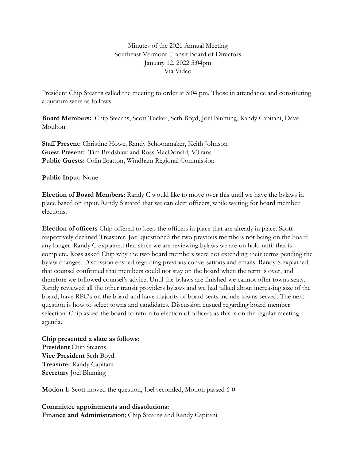Minutes of the 2021 Annual Meeting Southeast Vermont Transit Board of Directors January 12, 2022 5:04pm Via Video

President Chip Stearns called the meeting to order at 5:04 pm. Those in attendance and constituting a quorum were as follows:

**Board Members:** Chip Stearns, Scott Tucker, Seth Boyd, Joel Bluming, Randy Capitani, Dave Moulton

**Staff Present:** Christine Howe, Randy Schoonmaker, Keith Johnson **Guest Present:** Tim Bradshaw and Ross MacDonald, VTrans **Public Guests:** Colin Bratton, Windham Regional Commission

**Public Input:** None

**Election of Board Members**: Randy C would like to move over this until we have the bylaws in place based on input. Randy S stated that we can elect officers, while waiting for board member elections.

**Election of officers** Chip offered to keep the officers in place that are already in place. Scott respectively declined Treasurer. Joel questioned the two previous members not being on the board any longer. Randy C explained that since we are reviewing bylaws we are on hold until that is complete. Ross asked Chip why the two board members were not extending their terms pending the bylaw changes. Discussion ensued regarding previous conversations and emails. Randy S explained that counsel confirmed that members could not stay on the board when the term is over, and therefore we followed counsel's advice. Until the bylaws are finished we cannot offer towns seats. Randy reviewed all the other transit providers bylaws and we had talked about increasing size of the board, have RPC's on the board and have majority of board seats include towns served. The next question is how to select towns and candidates. Discussion ensued regarding board member selection. Chip asked the board to return to election of officers as this is on the regular meeting agenda.

**Chip presented a slate as follows: President** Chip Stearns **Vice President** Seth Boyd **Treasurer** Randy Capitani **Secretary** Joel Bluming

**Motion 1:** Scott moved the question, Joel seconded, Motion passed 6-0

**Committee appointments and dissolutions: Finance and Administration**; Chip Stearns and Randy Capitani